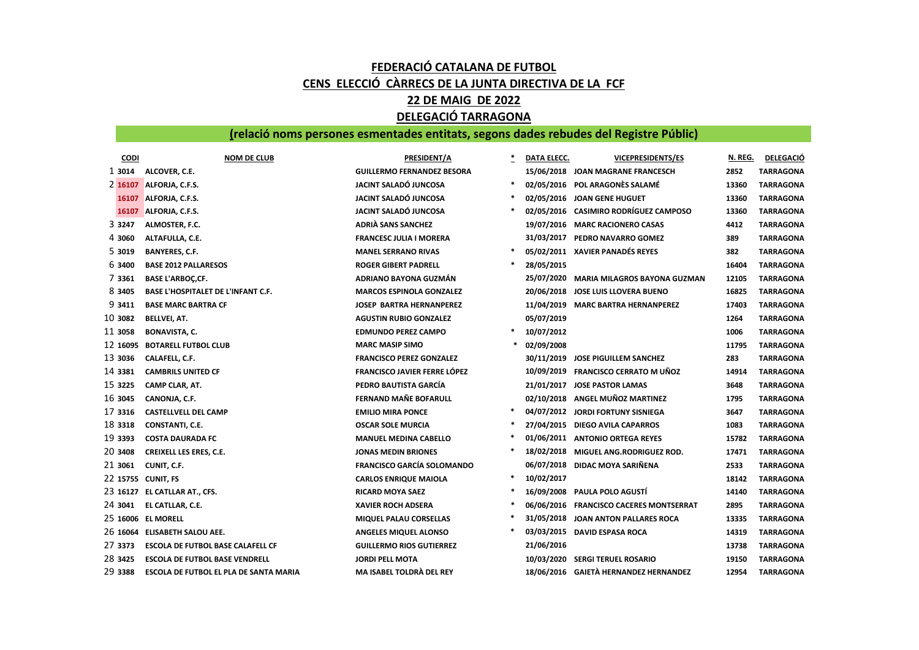## FEDERACIÓ CATALANA DE FUTBOL CENS ELECCIÓ CÀRRECS DE LA JUNTA DIRECTIVA DE LA FCF 22 DE MAIG DE 2022 DELEGACIÓ TARRAGONA

## (relació noms persones esmentades entitats, segons dades rebudes del Registre Públic)

|         | <b>CODI</b> | <b>NOM DE CLUB</b>                        | <b>PRESIDENT/A</b>                  | * | DATA ELECC. | <b>VICEPRESIDENTS/ES</b>                | N. REG. | <b>DELEGACIÓ</b> |
|---------|-------------|-------------------------------------------|-------------------------------------|---|-------------|-----------------------------------------|---------|------------------|
|         | 1 3014      | ALCOVER, C.E.                             | <b>GUILLERMO FERNANDEZ BESORA</b>   |   |             | 15/06/2018 JOAN MAGRANE FRANCESCH       | 2852    | <b>TARRAGONA</b> |
|         |             | 2 16107 ALFORJA, C.F.S.                   | JACINT SALADÓ JUNCOSA               | * |             | 02/05/2016 POL ARAGONÈS SALAMÉ          | 13360   | <b>TARRAGONA</b> |
|         |             | 16107 ALFORJA, C.F.S.                     | JACINT SALADÓ JUNCOSA               | * |             | 02/05/2016 JOAN GENE HUGUET             | 13360   | <b>TARRAGONA</b> |
|         |             | 16107 ALFORJA, C.F.S.                     | <b>JACINT SALADÓ JUNCOSA</b>        |   |             | 02/05/2016 CASIMIRO RODRÍGUEZ CAMPOSO   | 13360   | <b>TARRAGONA</b> |
|         | 3 3247      | ALMOSTER, F.C.                            | <b>ADRIÀ SANS SANCHEZ</b>           |   |             | 19/07/2016 MARC RACIONERO CASAS         | 4412    | <b>TARRAGONA</b> |
|         | 4 3060      | ALTAFULLA, C.E.                           | <b>FRANCESC JULIA I MORERA</b>      |   |             | 31/03/2017 PEDRO NAVARRO GOMEZ          | 389     | <b>TARRAGONA</b> |
|         | 5 3019      | <b>BANYERES, C.F.</b>                     | <b>MANEL SERRANO RIVAS</b>          | * |             | 05/02/2011 XAVIER PANADÉS REYES         | 382     | <b>TARRAGONA</b> |
|         | 6 3400      | <b>BASE 2012 PALLARESOS</b>               | <b>ROGER GIBERT PADRELL</b>         |   | 28/05/2015  |                                         | 16404   | <b>TARRAGONA</b> |
|         | 7 3361      | <b>BASE L'ARBOÇ, CF.</b>                  | ADRIANO BAYONA GUZMÁN               |   |             | 25/07/2020 MARIA MILAGROS BAYONA GUZMAN | 12105   | <b>TARRAGONA</b> |
|         | 8 3405      | <b>BASE L'HOSPITALET DE L'INFANT C.F.</b> | <b>MARCOS ESPINOLA GONZALEZ</b>     |   |             | 20/06/2018 JOSE LUIS LLOVERA BUENO      | 16825   | <b>TARRAGONA</b> |
|         | 9 3411      | <b>BASE MARC BARTRA CF</b>                | <b>JOSEP BARTRA HERNANPEREZ</b>     |   |             | 11/04/2019 MARC BARTRA HERNANPEREZ      | 17403   | <b>TARRAGONA</b> |
| 10 3082 |             | <b>BELLVEI, AT.</b>                       | <b>AGUSTIN RUBIO GONZALEZ</b>       |   | 05/07/2019  |                                         | 1264    | <b>TARRAGONA</b> |
| 11 3058 |             | <b>BONAVISTA, C.</b>                      | <b>EDMUNDO PEREZ CAMPO</b>          | * | 10/07/2012  |                                         | 1006    | TARRAGONA        |
|         | 12 16095    | <b>BOTARELL FUTBOL CLUB</b>               | <b>MARC MASIP SIMO</b>              |   | 02/09/2008  |                                         | 11795   | <b>TARRAGONA</b> |
| 13 3036 |             | CALAFELL, C.F.                            | <b>FRANCISCO PEREZ GONZALEZ</b>     |   |             | 30/11/2019 JOSE PIGUILLEM SANCHEZ       | 283     | <b>TARRAGONA</b> |
| 14 3381 |             | <b>CAMBRILS UNITED CF</b>                 | <b>FRANCISCO JAVIER FERRE LÓPEZ</b> |   |             | 10/09/2019 FRANCISCO CERRATO M UÑOZ     | 14914   | <b>TARRAGONA</b> |
| 15 3225 |             | CAMP CLAR, AT.                            | PEDRO BAUTISTA GARCÍA               |   |             | 21/01/2017 JOSE PASTOR LAMAS            | 3648    | <b>TARRAGONA</b> |
| 16 3045 |             | CANONJA, C.F.                             | FERNAND MAÑE BOFARULL               |   |             | 02/10/2018 ANGEL MUÑOZ MARTINEZ         | 1795    | <b>TARRAGONA</b> |
| 17 3316 |             | <b>CASTELLVELL DEL CAMP</b>               | <b>EMILIO MIRA PONCE</b>            | * |             | 04/07/2012 JORDI FORTUNY SISNIEGA       | 3647    | <b>TARRAGONA</b> |
| 18 3318 |             | CONSTANTI, C.E.                           | <b>OSCAR SOLE MURCIA</b>            |   |             | 27/04/2015 DIEGO AVILA CAPARROS         | 1083    | <b>TARRAGONA</b> |
| 19 3393 |             | <b>COSTA DAURADA FC</b>                   | <b>MANUEL MEDINA CABELLO</b>        |   |             | 01/06/2011 ANTONIO ORTEGA REYES         | 15782   | <b>TARRAGONA</b> |
| 20 3408 |             | <b>CREIXELL LES ERES, C.E.</b>            | <b>JONAS MEDIN BRIONES</b>          |   |             | 18/02/2018 MIGUEL ANG.RODRIGUEZ ROD.    | 17471   | <b>TARRAGONA</b> |
| 21 3061 |             | CUNIT, C.F.                               | <b>FRANCISCO GARCÍA SOLOMANDO</b>   |   |             | 06/07/2018 DIDAC MOYA SARIÑENA          | 2533    | <b>TARRAGONA</b> |
|         |             | 22 15755 CUNIT, FS                        | <b>CARLOS ENRIQUE MAIOLA</b>        | * | 10/02/2017  |                                         | 18142   | <b>TARRAGONA</b> |
|         |             | 23 16127 EL CATLLAR AT., CFS.             | <b>RICARD MOYA SAEZ</b>             | * |             | 16/09/2008 PAULA POLO AGUSTÍ            | 14140   | <b>TARRAGONA</b> |
| 24 3041 |             | EL CATLLAR, C.E.                          | <b>XAVIER ROCH ADSERA</b>           |   |             | 06/06/2016 FRANCISCO CACERES MONTSERRAT | 2895    | <b>TARRAGONA</b> |
|         | 25 16006    | <b>EL MORELL</b>                          | MIQUEL PALAU CORSELLAS              |   |             | 31/05/2018 JOAN ANTON PALLARES ROCA     | 13335   | <b>TARRAGONA</b> |
|         | 26 16064    | <b>ELISABETH SALOU AEE.</b>               | ANGELES MIQUEL ALONSO               |   |             | 03/03/2015 DAVID ESPASA ROCA            | 14319   | <b>TARRAGONA</b> |
| 27 3373 |             | <b>ESCOLA DE FUTBOL BASE CALAFELL CF</b>  | <b>GUILLERMO RIOS GUTIERREZ</b>     |   | 21/06/2016  |                                         | 13738   | <b>TARRAGONA</b> |
| 28 3425 |             | <b>ESCOLA DE FUTBOL BASE VENDRELL</b>     | <b>JORDI PELL MOTA</b>              |   |             | 10/03/2020 SERGI TERUEL ROSARIO         | 19150   | <b>TARRAGONA</b> |
| 29 3388 |             | ESCOLA DE FUTBOL EL PLA DE SANTA MARIA    | MA ISABEL TOLDRÀ DEL REY            |   |             | 18/06/2016 GAIETÀ HERNANDEZ HERNANDEZ   | 12954   | <b>TARRAGONA</b> |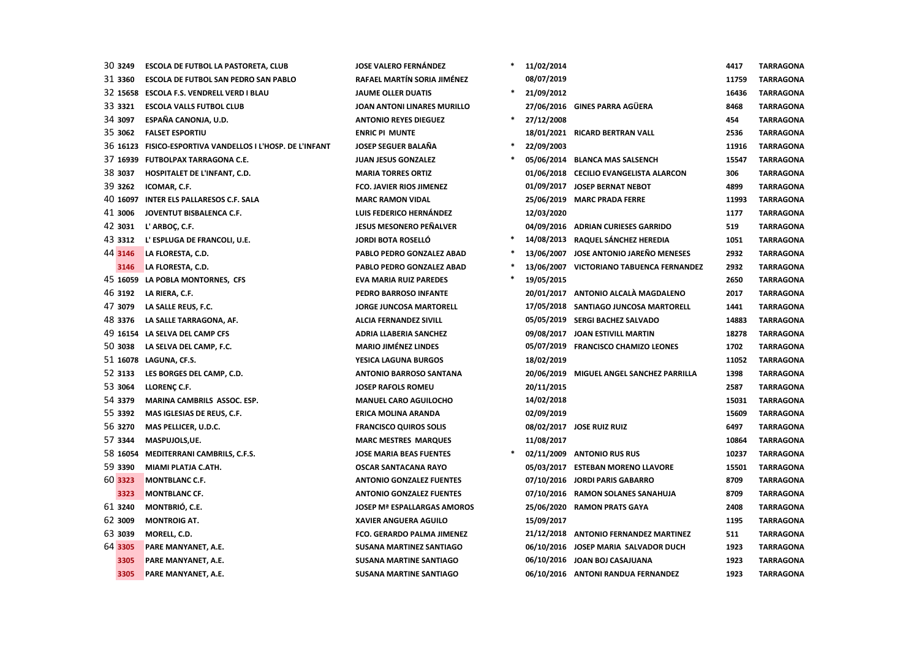| 30 3249 | ESCOLA DE FUTBOL LA PASTORETA, CLUB                       | <b>JOSE VALERO FERNÁNDEZ</b>       | $\ast$ | 11/02/2014 |                                          | 4417  | TARRAGONA        |
|---------|-----------------------------------------------------------|------------------------------------|--------|------------|------------------------------------------|-------|------------------|
| 31 3360 | ESCOLA DE FUTBOL SAN PEDRO SAN PABLO                      | RAFAEL MARTÍN SORIA JIMÉNEZ        |        | 08/07/2019 |                                          | 11759 | <b>TARRAGONA</b> |
|         | 32 15658 ESCOLA F.S. VENDRELL VERD I BLAU                 | <b>JAUME OLLER DUATIS</b>          | $\ast$ | 21/09/2012 |                                          | 16436 | <b>TARRAGONA</b> |
| 33 3321 | <b>ESCOLA VALLS FUTBOL CLUB</b>                           | <b>JOAN ANTONI LINARES MURILLO</b> |        |            | 27/06/2016 GINES PARRA AGÜERA            | 8468  | <b>TARRAGONA</b> |
| 34 3097 | ESPAÑA CANONJA, U.D.                                      | <b>ANTONIO REYES DIEGUEZ</b>       |        | 27/12/2008 |                                          | 454   | <b>TARRAGONA</b> |
| 35 3062 | <b>FALSET ESPORTIU</b>                                    | <b>ENRIC PI MUNTE</b>              |        |            | 18/01/2021 RICARD BERTRAN VALL           | 2536  | <b>TARRAGONA</b> |
|         | 36 16123 FISICO-ESPORTIVA VANDELLOS I L'HOSP. DE L'INFANT | <b>JOSEP SEGUER BALAÑA</b>         | $\ast$ | 22/09/2003 |                                          | 11916 | <b>TARRAGONA</b> |
|         | 37 16939 FUTBOLPAX TARRAGONA C.E.                         | <b>JUAN JESUS GONZALEZ</b>         |        |            | 05/06/2014 BLANCA MAS SALSENCH           | 15547 | <b>TARRAGONA</b> |
| 38 3037 | HOSPITALET DE L'INFANT, C.D.                              | <b>MARIA TORRES ORTIZ</b>          |        |            | 01/06/2018 CECILIO EVANGELISTA ALARCON   | 306   | <b>TARRAGONA</b> |
| 39 3262 | ICOMAR, C.F.                                              | <b>FCO. JAVIER RIOS JIMENEZ</b>    |        |            | 01/09/2017 JOSEP BERNAT NEBOT            | 4899  | <b>TARRAGONA</b> |
|         | 40 16097 INTER ELS PALLARESOS C.F. SALA                   | <b>MARC RAMON VIDAL</b>            |        | 25/06/2019 | <b>MARC PRADA FERRE</b>                  | 11993 | <b>TARRAGONA</b> |
| 41 3006 | JOVENTUT BISBALENCA C.F.                                  | LUIS FEDERICO HERNÁNDEZ            |        | 12/03/2020 |                                          | 1177  | <b>TARRAGONA</b> |
| 42 3031 | L' ARBOÇ, C.F.                                            | <b>JESUS MESONERO PEÑALVER</b>     |        |            | 04/09/2016 ADRIAN CURIESES GARRIDO       | 519   | <b>TARRAGONA</b> |
| 43 3312 | L' ESPLUGA DE FRANCOLI, U.E.                              | <b>JORDI BOTA ROSELLÓ</b>          |        |            | 14/08/2013 RAQUEL SÁNCHEZ HEREDIA        | 1051  | <b>TARRAGONA</b> |
| 44 3146 | LA FLORESTA, C.D.                                         | PABLO PEDRO GONZALEZ ABAD          |        |            | 13/06/2007 JOSE ANTONIO JAREÑO MENESES   | 2932  | <b>TARRAGONA</b> |
| 3146    | LA FLORESTA, C.D.                                         | <b>PABLO PEDRO GONZALEZ ABAD</b>   |        |            | 13/06/2007 VICTORIANO TABUENCA FERNANDEZ | 2932  | <b>TARRAGONA</b> |
|         | 45 16059 LA POBLA MONTORNES, CFS                          | <b>EVA MARIA RUIZ PAREDES</b>      |        | 19/05/2015 |                                          | 2650  | TARRAGONA        |
| 46 3192 | LA RIERA, C.F.                                            | PEDRO BARROSO INFANTE              |        |            | 20/01/2017 ANTONIO ALCALA MAGDALENO      | 2017  | <b>TARRAGONA</b> |
| 47 3079 | LA SALLE REUS, F.C.                                       | <b>JORGE JUNCOSA MARTORELL</b>     |        |            | 17/05/2018 SANTIAGO JUNCOSA MARTORELL    | 1441  | <b>TARRAGONA</b> |
| 48 3376 | LA SALLE TARRAGONA, AF.                                   | <b>ALCIA FERNANDEZ SIVILL</b>      |        |            | 05/05/2019 SERGI BACHEZ SALVADO          | 14883 | <b>TARRAGONA</b> |
|         | 49 16154 LA SELVA DEL CAMP CFS                            | <b>ADRIA LLABERIA SANCHEZ</b>      |        |            | 09/08/2017 JOAN ESTIVILL MARTIN          | 18278 | <b>TARRAGONA</b> |
| 50 3038 | LA SELVA DEL CAMP, F.C.                                   | <b>MARIO JIMÉNEZ LINDES</b>        |        |            | 05/07/2019 FRANCISCO CHAMIZO LEONES      | 1702  | <b>TARRAGONA</b> |
|         | 51 16078 LAGUNA, CF.S.                                    | YESICA LAGUNA BURGOS               |        | 18/02/2019 |                                          | 11052 | <b>TARRAGONA</b> |
| 52 3133 | LES BORGES DEL CAMP, C.D.                                 | <b>ANTONIO BARROSO SANTANA</b>     |        | 20/06/2019 | MIGUEL ANGEL SANCHEZ PARRILLA            | 1398  | <b>TARRAGONA</b> |
| 53 3064 | LLORENÇ C.F.                                              | <b>JOSEP RAFOLS ROMEU</b>          |        | 20/11/2015 |                                          | 2587  | <b>TARRAGONA</b> |
| 54 3379 | MARINA CAMBRILS ASSOC. ESP.                               | <b>MANUEL CARO AGUILOCHO</b>       |        | 14/02/2018 |                                          | 15031 | <b>TARRAGONA</b> |
| 55 3392 | MAS IGLESIAS DE REUS, C.F.                                | <b>ERICA MOLINA ARANDA</b>         |        | 02/09/2019 |                                          | 15609 | <b>TARRAGONA</b> |
| 56 3270 | MAS PELLICER, U.D.C.                                      | <b>FRANCISCO QUIROS SOLIS</b>      |        |            | 08/02/2017 JOSE RUIZ RUIZ                | 6497  | <b>TARRAGONA</b> |
| 57 3344 | MASPUJOLS, UE.                                            | <b>MARC MESTRES MARQUES</b>        |        | 11/08/2017 |                                          | 10864 | <b>TARRAGONA</b> |
|         | 58 16054 MEDITERRANI CAMBRILS, C.F.S.                     | <b>JOSE MARIA BEAS FUENTES</b>     |        |            | 02/11/2009 ANTONIO RUS RUS               | 10237 | <b>TARRAGONA</b> |
| 59 3390 | MIAMI PLATJA C.ATH.                                       | <b>OSCAR SANTACANA RAYO</b>        |        |            | 05/03/2017 ESTEBAN MORENO LLAVORE        | 15501 | <b>TARRAGONA</b> |
| 60 3323 | <b>MONTBLANC C.F.</b>                                     | <b>ANTONIO GONZALEZ FUENTES</b>    |        |            | 07/10/2016 JORDI PARIS GABARRO           | 8709  | <b>TARRAGONA</b> |
| 3323    | <b>MONTBLANC CF.</b>                                      | <b>ANTONIO GONZALEZ FUENTES</b>    |        |            | 07/10/2016 RAMON SOLANES SANAHUJA        | 8709  | <b>TARRAGONA</b> |
| 61 3240 | MONTBRIÓ, C.E.                                            | JOSEP Mª ESPALLARGAS AMOROS        |        |            | 25/06/2020 RAMON PRATS GAYA              | 2408  | <b>TARRAGONA</b> |
| 62 3009 | <b>MONTROIG AT.</b>                                       | <b>XAVIER ANGUERA AGUILO</b>       |        | 15/09/2017 |                                          | 1195  | <b>TARRAGONA</b> |
| 63 3039 | MORELL, C.D.                                              | FCO. GERARDO PALMA JIMENEZ         |        |            | 21/12/2018 ANTONIO FERNANDEZ MARTINEZ    | 511   | <b>TARRAGONA</b> |
| 64 3305 | PARE MANYANET, A.E.                                       | <b>SUSANA MARTINEZ SANTIAGO</b>    |        |            | 06/10/2016 JOSEP MARIA SALVADOR DUCH     | 1923  | <b>TARRAGONA</b> |
| 3305    | <b>PARE MANYANET, A.E.</b>                                | <b>SUSANA MARTINE SANTIAGO</b>     |        |            | 06/10/2016 JOAN BOJ CASAJUANA            | 1923  | <b>TARRAGONA</b> |
| 3305    | PARE MANYANET, A.E.                                       | <b>SUSANA MARTINE SANTIAGO</b>     |        |            | 06/10/2016 ANTONI RANDUA FERNANDEZ       | 1923  | <b>TARRAGONA</b> |
|         |                                                           |                                    |        |            |                                          |       |                  |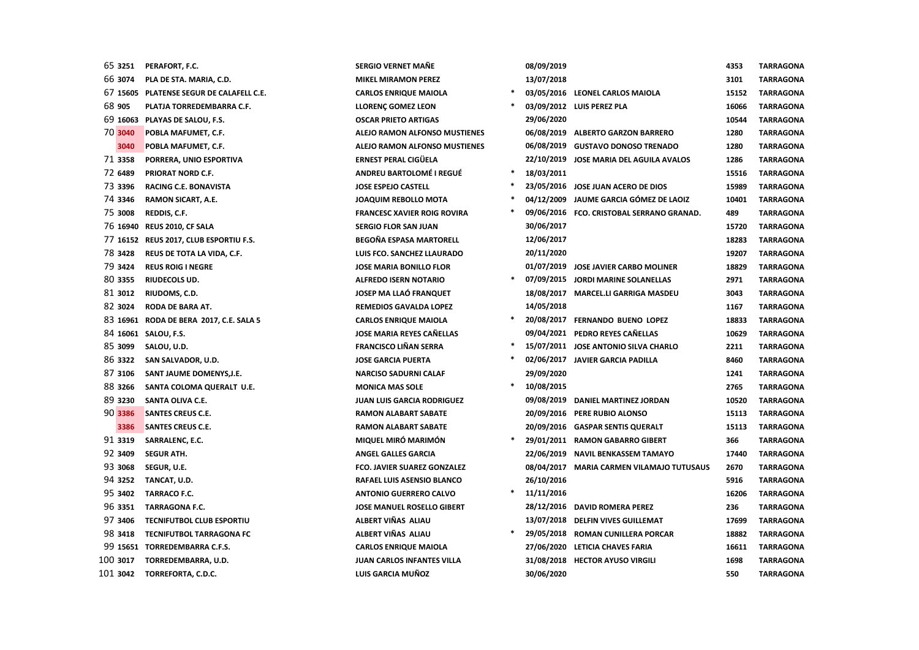| 65 3251  | PERAFORT, F.C.                           | <b>SERGIO VERNET MAÑE</b>          | 08/09/2019 |                                           | 4353  | <b>TARRAGONA</b> |
|----------|------------------------------------------|------------------------------------|------------|-------------------------------------------|-------|------------------|
| 66 3074  | PLA DE STA. MARIA, C.D.                  | <b>MIKEL MIRAMON PEREZ</b>         | 13/07/2018 |                                           | 3101  | <b>TARRAGONA</b> |
|          | 67 15605 PLATENSE SEGUR DE CALAFELL C.E. | <b>CARLOS ENRIQUE MAIOLA</b>       |            | 03/05/2016 LEONEL CARLOS MAIOLA           | 15152 | <b>TARRAGONA</b> |
| 68 905   | PLATJA TORREDEMBARRA C.F.                | LLORENÇ GOMEZ LEON                 |            | 03/09/2012 LUIS PEREZ PLA                 | 16066 | <b>TARRAGONA</b> |
|          | 69 16063 PLAYAS DE SALOU, F.S.           | <b>OSCAR PRIETO ARTIGAS</b>        | 29/06/2020 |                                           | 10544 | <b>TARRAGONA</b> |
| 70 3040  | POBLA MAFUMET, C.F.                      | ALEJO RAMON ALFONSO MUSTIENES      |            | 06/08/2019 ALBERTO GARZON BARRERO         | 1280  | <b>TARRAGONA</b> |
| 3040     | POBLA MAFUMET, C.F.                      | ALEJO RAMON ALFONSO MUSTIENES      |            | 06/08/2019 GUSTAVO DONOSO TRENADO         | 1280  | <b>TARRAGONA</b> |
| 71 3358  | PORRERA, UNIO ESPORTIVA                  | <b>ERNEST PERAL CIGÜELA</b>        |            | 22/10/2019 JOSE MARIA DEL AGUILA AVALOS   | 1286  | <b>TARRAGONA</b> |
| 72 6489  | PRIORAT NORD C.F.                        | ANDREU BARTOLOMÉ I REGUÉ           | 18/03/2011 |                                           | 15516 | <b>TARRAGONA</b> |
| 73 3396  | <b>RACING C.E. BONAVISTA</b>             | <b>JOSE ESPEJO CASTELL</b>         |            | 23/05/2016 JOSE JUAN ACERO DE DIOS        | 15989 | <b>TARRAGONA</b> |
| 74 3346  | <b>RAMON SICART, A.E.</b>                | JOAQUIM REBOLLO MOTA               |            | 04/12/2009 JAUME GARCIA GÓMEZ DE LAOIZ    | 10401 | <b>TARRAGONA</b> |
| 75 3008  | REDDIS, C.F.                             | <b>FRANCESC XAVIER ROIG ROVIRA</b> |            | 09/06/2016 FCO. CRISTOBAL SERRANO GRANAD. | 489   | <b>TARRAGONA</b> |
|          | 76 16940 REUS 2010, CF SALA              | <b>SERGIO FLOR SAN JUAN</b>        | 30/06/2017 |                                           | 15720 | <b>TARRAGONA</b> |
|          | 77 16152 REUS 2017, CLUB ESPORTIU F.S.   | BEGOÑA ESPASA MARTORELL            | 12/06/2017 |                                           | 18283 | <b>TARRAGONA</b> |
| 78 3428  | REUS DE TOTA LA VIDA, C.F.               | LUIS FCO. SANCHEZ LLAURADO         | 20/11/2020 |                                           | 19207 | <b>TARRAGONA</b> |
| 79 3424  | <b>REUS ROIG I NEGRE</b>                 | <b>JOSE MARIA BONILLO FLOR</b>     |            | 01/07/2019 JOSE JAVIER CARBO MOLINER      | 18829 | <b>TARRAGONA</b> |
| 80 3355  | RIUDECOLS UD.                            | <b>ALFREDO ISERN NOTARIO</b>       |            | 07/09/2015 JORDI MARINE SOLANELLAS        | 2971  | <b>TARRAGONA</b> |
| 81 3012  | RIUDOMS, C.D.                            | JOSEP MA LLAÓ FRANQUET             |            | 18/08/2017 MARCEL.LI GARRIGA MASDEU       | 3043  | <b>TARRAGONA</b> |
| 82 3024  | <b>RODA DE BARA AT.</b>                  | <b>REMEDIOS GAVALDA LOPEZ</b>      | 14/05/2018 |                                           | 1167  | <b>TARRAGONA</b> |
|          | 83 16961 RODA DE BERA 2017, C.E. SALA 5  | <b>CARLOS ENRIQUE MAIOLA</b>       |            | 20/08/2017 FERNANDO BUENO LOPEZ           | 18833 | <b>TARRAGONA</b> |
|          | 84 16061 SALOU, F.S.                     | JOSE MARIA REYES CAÑELLAS          |            | 09/04/2021 PEDRO REYES CAÑELLAS           | 10629 | <b>TARRAGONA</b> |
| 85 3099  | SALOU, U.D.                              | <b>FRANCISCO LIÑAN SERRA</b>       |            | 15/07/2011 JOSE ANTONIO SILVA CHARLO      | 2211  | <b>TARRAGONA</b> |
| 86 3322  | SAN SALVADOR, U.D.                       | <b>JOSE GARCIA PUERTA</b>          |            | 02/06/2017 JAVIER GARCIA PADILLA          | 8460  | <b>TARRAGONA</b> |
| 87 3106  | SANT JAUME DOMENYS, J.E.                 | <b>NARCISO SADURNI CALAF</b>       | 29/09/2020 |                                           | 1241  | <b>TARRAGONA</b> |
| 88 3266  | SANTA COLOMA QUERALT U.E.                | <b>MONICA MAS SOLE</b>             | 10/08/2015 |                                           | 2765  | <b>TARRAGONA</b> |
| 89 3230  | SANTA OLIVA C.E.                         | <b>JUAN LUIS GARCIA RODRIGUEZ</b>  |            | 09/08/2019 DANIEL MARTINEZ JORDAN         | 10520 | <b>TARRAGONA</b> |
| 90 3386  | <b>SANTES CREUS C.E.</b>                 | <b>RAMON ALABART SABATE</b>        |            | 20/09/2016 PERE RUBIO ALONSO              | 15113 | <b>TARRAGONA</b> |
| 3386     | <b>SANTES CREUS C.E.</b>                 | <b>RAMON ALABART SABATE</b>        |            | 20/09/2016 GASPAR SENTIS QUERALT          | 15113 | <b>TARRAGONA</b> |
| 91 3319  | SARRALENC, E.C.                          | <b>MIQUEL MIRÓ MARIMÓN</b>         |            | 29/01/2011 RAMON GABARRO GIBERT           | 366   | <b>TARRAGONA</b> |
| 92 3409  | <b>SEGUR ATH.</b>                        | <b>ANGEL GALLES GARCIA</b>         |            | 22/06/2019 NAVIL BENKASSEM TAMAYO         | 17440 | <b>TARRAGONA</b> |
| 93 3068  | SEGUR, U.E.                              | FCO. JAVIER SUAREZ GONZALEZ        |            | 08/04/2017 MARIA CARMEN VILAMAJO TUTUSAUS | 2670  | <b>TARRAGONA</b> |
| 94 3252  | TANCAT, U.D.                             | <b>RAFAEL LUIS ASENSIO BLANCO</b>  | 26/10/2016 |                                           | 5916  | <b>TARRAGONA</b> |
| 95 3402  | <b>TARRACO F.C.</b>                      | <b>ANTONIO GUERRERO CALVO</b>      | 11/11/2016 |                                           | 16206 | <b>TARRAGONA</b> |
| 96 3351  | <b>TARRAGONA F.C.</b>                    | JOSE MANUEL ROSELLO GIBERT         |            | 28/12/2016 DAVID ROMERA PEREZ             | 236   | <b>TARRAGONA</b> |
| 97 3406  | <b>TECNIFUTBOL CLUB ESPORTIU</b>         | ALBERT VIÑAS ALIAU                 |            | 13/07/2018 DELFIN VIVES GUILLEMAT         | 17699 | <b>TARRAGONA</b> |
| 98 3418  | <b>TECNIFUTBOL TARRAGONA FC</b>          | ALBERT VIÑAS ALIAU                 |            | 29/05/2018 ROMAN CUNILLERA PORCAR         | 18882 | <b>TARRAGONA</b> |
|          | 99 15651 TORREDEMBARRA C.F.S.            | <b>CARLOS ENRIQUE MAIOLA</b>       |            | 27/06/2020 LETICIA CHAVES FARIA           | 16611 | <b>TARRAGONA</b> |
| 100 3017 | TORREDEMBARRA, U.D.                      | <b>JUAN CARLOS INFANTES VILLA</b>  |            | 31/08/2018 HECTOR AYUSO VIRGILI           | 1698  | <b>TARRAGONA</b> |
| 101 3042 | TORREFORTA, C.D.C.                       | LUIS GARCIA MUÑOZ                  | 30/06/2020 |                                           | 550   | <b>TARRAGONA</b> |